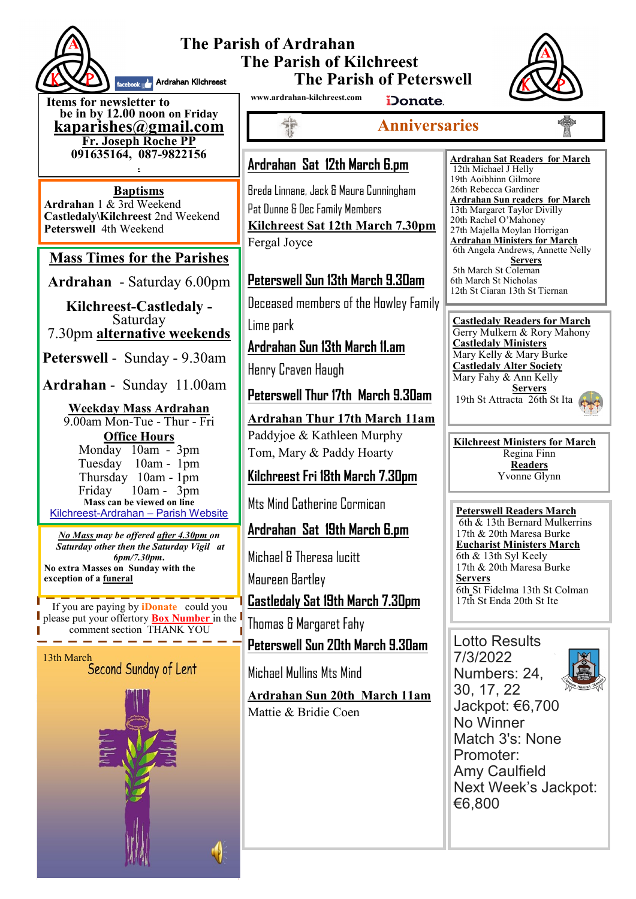

#### **The Parish of Ardrahan The Parish of Kilchreest The Parish of Peterswell** facebook **A.** Ardrahan Kilchreest

**Items for newsletter to be in by 12.00 noon on Friday [kaparishes@gmail.com](mailto:kaparish@gmail.com) Fr. Joseph Roche PP 091635164, 087-9822156 .**

**Baptisms Ardrahan** 1 & 3rd Weekend **Castledaly\Kilchreest** 2nd Weekend **Peterswell** 4th Weekend

### **Mass Times for the Parishes**

**Ardrahan** - Saturday 6.00pm

**Kilchreest-Castledaly -**  Saturday 7.30pm **alternative weekends**

**Peterswell** - Sunday - 9.30am

**Ardrahan** - Sunday 11.00am

#### **Weekday Mass Ardrahan**  9.00am Mon-Tue - Thur - Fri **Office Hours**  Monday 10am - 3pm Tuesday 10am - 1pm Thursday 10am - 1pm Friday 10am - 3pm **Mass can be viewed on line**  Kilchreest-Ardrahan – Parish Website

*No Mass may be offered after 4.30pm on Saturday other then the Saturday Vigil at 6pm/7.30pm***. No extra Masses on Sunday with the exception of a funeral**

If you are paying by **iDonate** could you please put your offertory **Box Number** in the comment section THANK YOU -------

# 13th March<br>Second Sunday of Lent

**www.ardrahan-kilchreest.com**



iDonate.

# **Anniversaries**

# **Ardrahan Sat 12th March 6.pm**

Breda Linnane, Jack & Maura Cunningham Pat Dunne & Dec Family Members **Kilchreest Sat 12th March 7.30pm** Fergal Joyce

# **Peterswell Sun 13th March 9.30am**

Deceased members of the Howley Family

Lime park

# **Ardrahan Sun 13th March 11.am**

Henry Craven Haugh

# **Peterswell Thur 17th March 9.30am**

**Ardrahan Thur 17th March 11am** Paddyjoe & Kathleen Murphy Tom, Mary & Paddy Hoarty

# **Kilchreest Fri 18th March 7.30pm**

Mts Mind Catherine Cormican

## **Ardrahan Sat 19th March 6.pm**

Michael & Theresa lucitt Maureen Bartley

**Castledaly Sat 19th March 7.30pm**

Thomas & Margaret Fahy

**Peterswell Sun 20th March 9.30am**

Michael Mullins Mts Mind

**Ardrahan Sun 20th March 11am** Mattie & Bridie Coen

#### **Ardrahan Sat Readers for March**  12th Michael J Helly 19th Aoibhinn Gilmore 26th Rebecca Gardiner **Ardrahan Sun readers for March** 13th Margaret Taylor Divilly 20th Rachel O'Mahoney 27th Majella Moylan Horrigan **Ardrahan Ministers for March** 6th Angela Andrews, Annette Nelly **Servers** 5th March St Coleman 6th March St Nicholas 12th St Ciaran 13th St Tiernan

**Castledaly Readers for March** Gerry Mulkern & Rory Mahony **Castledaly Ministers** Mary Kelly & Mary Burke **Castledaly Alter Society** Mary Fahy & Ann Kelly **Servers** 19th St Attracta 26th St Ita

**Kilchreest Ministers for March** Regina Finn **Readers** Yvonne Glynn

**Peterswell Readers March** 6th & 13th Bernard Mulkerrins 17th & 20th Maresa Burke **Eucharist Ministers March** 6th & 13th Syl Keely 17th & 20th Maresa Burke **Servers** 6th St Fidelma 13th St Colman 17th St Enda 20th St Ite

#### Lotto Results 7/3/2022

Numbers: 24,



30, 17, 22 Jackpot: €6,700 No Winner Match 3's: None Promoter: Amy Caulfield Next Week's Jackpot: €6,800